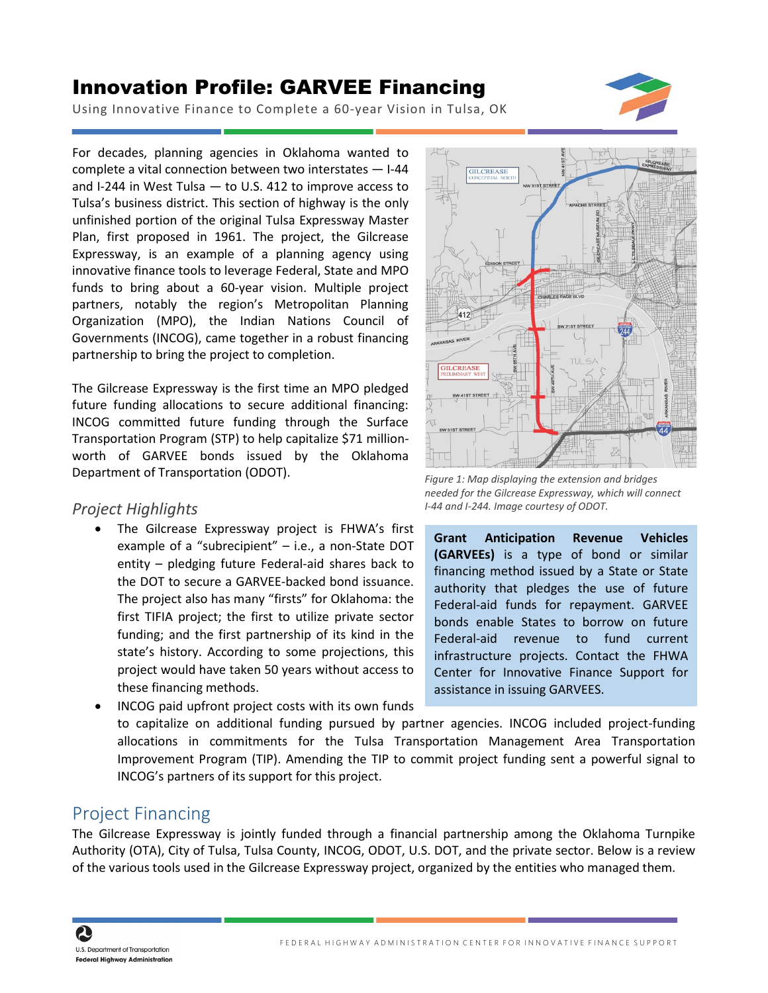## Innovation Profile: GARVEE Financing



Using Innovative Finance to Complete a 60-year Vision in Tulsa, OK

For decades, planning agencies in Oklahoma wanted to complete a vital connection between two interstates — I-44 and I-244 in West Tulsa — to U.S. 412 to improve access to Tulsa's business district. This section of highway is the only unfinished portion of the original Tulsa Expressway Master Plan, first proposed in 1961. The project, the Gilcrease Expressway, is an example of a planning agency using innovative finance tools to leverage Federal, State and MPO funds to bring about a 60-year vision. Multiple project partners, notably the region's Metropolitan Planning Organization (MPO), the Indian Nations Council of Governments (INCOG), came together in a robust financing partnership to bring the project to completion.

The Gilcrease Expressway is the first time an MPO pledged future funding allocations to secure additional financing: INCOG committed future funding through the Surface Transportation Program (STP) to help capitalize \$71 millionworth of GARVEE bonds issued by the Oklahoma Department of Transportation (ODOT).

## *Project Highlights*

• The Gilcrease Expressway project is FHWA's first example of a "subrecipient" – i.e., a non-State DOT entity – pledging future Federal-aid shares back to the DOT to secure a GARVEE-backed bond issuance. The project also has many "firsts" for Oklahoma: the first TIFIA project; the first to utilize private sector funding; and the first partnership of its kind in the state's history. According to some projections, this project would have taken 50 years without access to these financing methods.



*Figure 1: Map displaying the extension and bridges needed for the Gilcrease Expressway, which will connect I-44 and I-244. Image courtesy of ODOT.*

**Grant Anticipation Revenue Vehicles (GARVEEs)** is a type of bond or similar financing method issued by a State or State authority that pledges the use of future Federal-aid funds for repayment. GARVEE bonds enable States to borrow on future Federal-aid revenue to fund current infrastructure projects. Contact the FHWA Center for Innovative Finance Support for assistance in issuing GARVEES.

• INCOG paid upfront project costs with its own funds to capitalize on additional funding pursued by partner agencies. INCOG included project-funding allocations in commitments for the Tulsa Transportation Management Area Transportation Improvement Program (TIP). Amending the TIP to commit project funding sent a powerful signal to INCOG's partners of its support for this project.

## Project Financing

The Gilcrease Expressway is jointly funded through a financial partnership among the Oklahoma Turnpike Authority (OTA), City of Tulsa, Tulsa County, INCOG, ODOT, U.S. DOT, and the private sector. Below is a review of the various tools used in the Gilcrease Expressway project, organized by the entities who managed them.